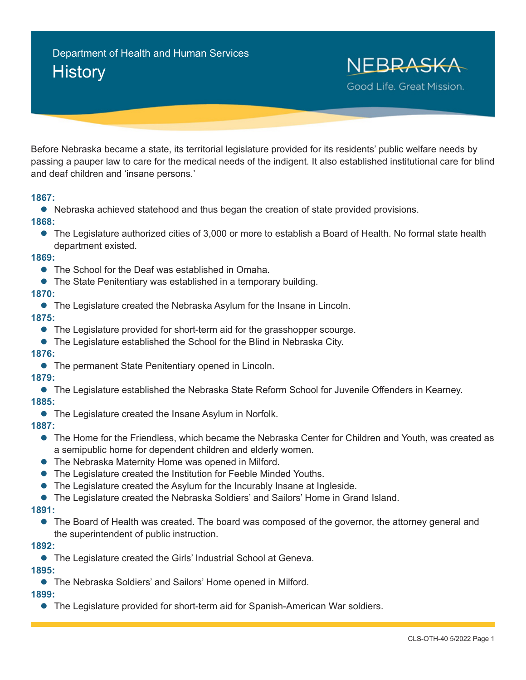Before Nebraska became a state, its territorial legislature provided for its residents' public welfare needs by passing a pauper law to care for the medical needs of the indigent. It also established institutional care for blind and deaf children and 'insane persons.'

#### **1867:**

• Nebraska achieved statehood and thus began the creation of state provided provisions.

- **1868:**
	- The Legislature authorized cities of 3,000 or more to establish a Board of Health. No formal state health department existed.

#### **1869:**

- The School for the Deaf was established in Omaha.
- The State Penitentiary was established in a temporary building.

#### **1870:**

• The Legislature created the Nebraska Asylum for the Insane in Lincoln.

#### **1875:**

- The Legislature provided for short-term aid for the grasshopper scourge.
- The Legislature established the School for the Blind in Nebraska City.

## **1876:**

• The permanent State Penitentiary opened in Lincoln.

## **1879:**

- **•** The Legislature established the Nebraska State Reform School for Juvenile Offenders in Kearney. **1885:**
	- The Legislature created the Insane Asylum in Norfolk.

## **1887:**

- **•** The Home for the Friendless, which became the Nebraska Center for Children and Youth, was created as a semipublic home for dependent children and elderly women.
- **•** The Nebraska Maternity Home was opened in Milford.
- The Legislature created the Institution for Feeble Minded Youths.
- The Legislature created the Asylum for the Incurably Insane at Ingleside.
- **•** The Legislature created the Nebraska Soldiers' and Sailors' Home in Grand Island.

## **1891:**

• The Board of Health was created. The board was composed of the governor, the attorney general and the superintendent of public instruction.

## **1892:**

**•** The Legislature created the Girls' Industrial School at Geneva.

## **1895:**

**•** The Nebraska Soldiers' and Sailors' Home opened in Milford.

## **1899:**

• The Legislature provided for short-term aid for Spanish-American War soldiers.

**NEBRASKA** 

Good Life. Great Mission.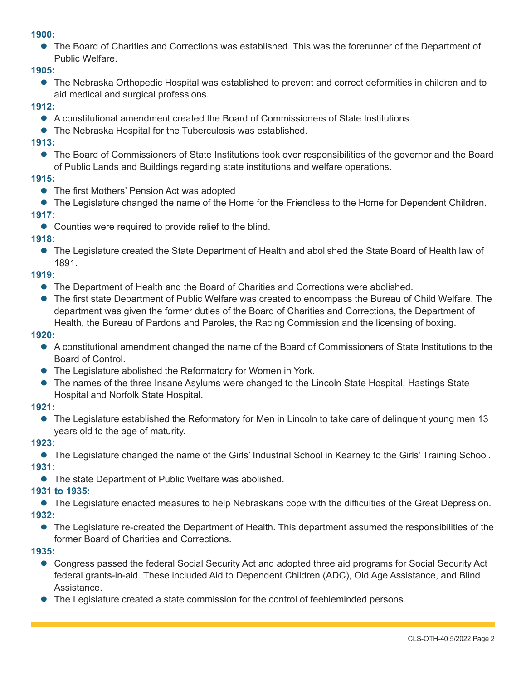• The Board of Charities and Corrections was established. This was the forerunner of the Department of Public Welfare.

## **1905:**

• The Nebraska Orthopedic Hospital was established to prevent and correct deformities in children and to aid medical and surgical professions.

#### **1912:**

- A constitutional amendment created the Board of Commissioners of State Institutions.
- **•** The Nebraska Hospital for the Tuberculosis was established.

#### **1913:**

• The Board of Commissioners of State Institutions took over responsibilities of the governor and the Board of Public Lands and Buildings regarding state institutions and welfare operations.

#### **1915:**

- The first Mothers' Pension Act was adopted
- The Legislature changed the name of the Home for the Friendless to the Home for Dependent Children. **1917:**
	- Counties were required to provide relief to the blind.

## **1918:**

• The Legislature created the State Department of Health and abolished the State Board of Health law of 1891.

## **1919:**

- The Department of Health and the Board of Charities and Corrections were abolished.
- The first state Department of Public Welfare was created to encompass the Bureau of Child Welfare. The department was given the former duties of the Board of Charities and Corrections, the Department of Health, the Bureau of Pardons and Paroles, the Racing Commission and the licensing of boxing.

#### **1920:**

- l A constitutional amendment changed the name of the Board of Commissioners of State Institutions to the Board of Control.
- The Legislature abolished the Reformatory for Women in York.
- The names of the three Insane Asylums were changed to the Lincoln State Hospital, Hastings State Hospital and Norfolk State Hospital.

## **1921:**

• The Legislature established the Reformatory for Men in Lincoln to take care of delinguent young men 13 years old to the age of maturity.

## **1923:**

• The Legislature changed the name of the Girls' Industrial School in Kearney to the Girls' Training School. **1931:**

• The state Department of Public Welfare was abolished.

## **1931 to 1935:**

• The Legislature enacted measures to help Nebraskans cope with the difficulties of the Great Depression. **1932:**

• The Legislature re-created the Department of Health. This department assumed the responsibilities of the former Board of Charities and Corrections.

- Congress passed the federal Social Security Act and adopted three aid programs for Social Security Act federal grants-in-aid. These included Aid to Dependent Children (ADC), Old Age Assistance, and Blind Assistance.
- The Legislature created a state commission for the control of feebleminded persons.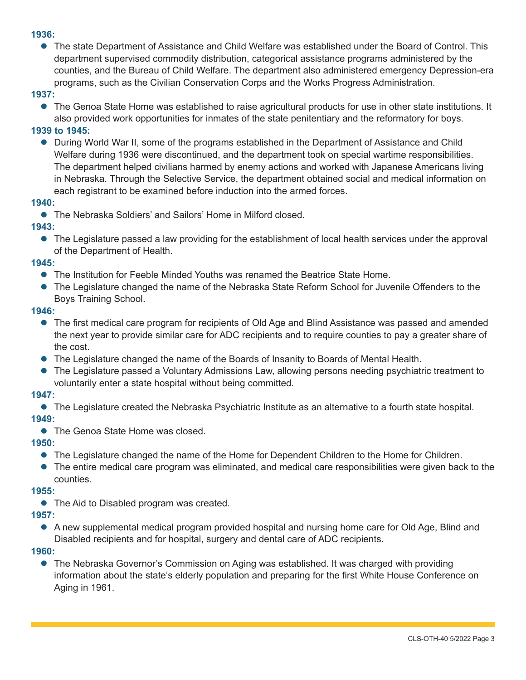• The state Department of Assistance and Child Welfare was established under the Board of Control. This department supervised commodity distribution, categorical assistance programs administered by the counties, and the Bureau of Child Welfare. The department also administered emergency Depression-era programs, such as the Civilian Conservation Corps and the Works Progress Administration.

#### **1937:**

• The Genoa State Home was established to raise agricultural products for use in other state institutions. It also provided work opportunities for inmates of the state penitentiary and the reformatory for boys.

## **1939 to 1945:**

**•** During World War II, some of the programs established in the Department of Assistance and Child Welfare during 1936 were discontinued, and the department took on special wartime responsibilities. The department helped civilians harmed by enemy actions and worked with Japanese Americans living in Nebraska. Through the Selective Service, the department obtained social and medical information on each registrant to be examined before induction into the armed forces.

#### **1940:**

• The Nebraska Soldiers' and Sailors' Home in Milford closed.

## **1943:**

• The Legislature passed a law providing for the establishment of local health services under the approval of the Department of Health.

#### **1945:**

- The Institution for Feeble Minded Youths was renamed the Beatrice State Home.
- **•** The Legislature changed the name of the Nebraska State Reform School for Juvenile Offenders to the Boys Training School.

#### **1946:**

- The first medical care program for recipients of Old Age and Blind Assistance was passed and amended the next year to provide similar care for ADC recipients and to require counties to pay a greater share of the cost.
- The Legislature changed the name of the Boards of Insanity to Boards of Mental Health.
- The Legislature passed a Voluntary Admissions Law, allowing persons needing psychiatric treatment to voluntarily enter a state hospital without being committed.

## **1947:**

• The Legislature created the Nebraska Psychiatric Institute as an alternative to a fourth state hospital.

# **1949:**

• The Genoa State Home was closed.

#### **1950:**

- The Legislature changed the name of the Home for Dependent Children to the Home for Children.
- The entire medical care program was eliminated, and medical care responsibilities were given back to the counties.

#### **1955:**

• The Aid to Disabled program was created.

## **1957:**

• A new supplemental medical program provided hospital and nursing home care for Old Age, Blind and Disabled recipients and for hospital, surgery and dental care of ADC recipients.

## **1960:**

• The Nebraska Governor's Commission on Aging was established. It was charged with providing information about the state's elderly population and preparing for the first White House Conference on Aging in 1961.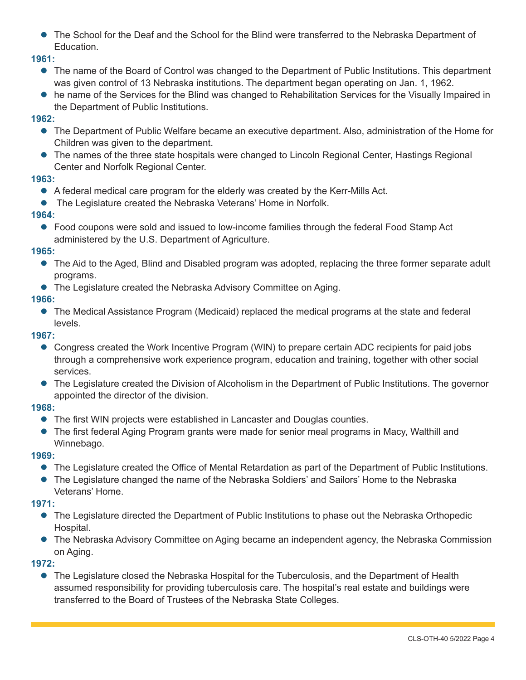• The School for the Deaf and the School for the Blind were transferred to the Nebraska Department of Education.

**1961:**

- The name of the Board of Control was changed to the Department of Public Institutions. This department was given control of 13 Nebraska institutions. The department began operating on Jan. 1, 1962.
- he name of the Services for the Blind was changed to Rehabilitation Services for the Visually Impaired in the Department of Public Institutions.

# **1962:**

- The Department of Public Welfare became an executive department. Also, administration of the Home for Children was given to the department.
- **•** The names of the three state hospitals were changed to Lincoln Regional Center, Hastings Regional Center and Norfolk Regional Center.

## **1963:**

- $\bullet$  A federal medical care program for the elderly was created by the Kerr-Mills Act.
- **The Legislature created the Nebraska Veterans' Home in Norfolk.**

## **1964:**

• Food coupons were sold and issued to low-income families through the federal Food Stamp Act administered by the U.S. Department of Agriculture.

## **1965:**

- The Aid to the Aged, Blind and Disabled program was adopted, replacing the three former separate adult programs.
- **The Legislature created the Nebraska Advisory Committee on Aging.**

# **1966:**

• The Medical Assistance Program (Medicaid) replaced the medical programs at the state and federal levels.

#### **1967:**

- Congress created the Work Incentive Program (WIN) to prepare certain ADC recipients for paid jobs through a comprehensive work experience program, education and training, together with other social services.
- The Legislature created the Division of Alcoholism in the Department of Public Institutions. The governor appointed the director of the division.

## **1968:**

- The first WIN projects were established in Lancaster and Douglas counties.
- The first federal Aging Program grants were made for senior meal programs in Macy, Walthill and Winnebago.

## **1969:**

- The Legislature created the Office of Mental Retardation as part of the Department of Public Institutions.
- The Legislature changed the name of the Nebraska Soldiers' and Sailors' Home to the Nebraska Veterans' Home.

## **1971:**

- The Legislature directed the Department of Public Institutions to phase out the Nebraska Orthopedic Hospital.
- The Nebraska Advisory Committee on Aging became an independent agency, the Nebraska Commission on Aging.

## **1972:**

• The Legislature closed the Nebraska Hospital for the Tuberculosis, and the Department of Health assumed responsibility for providing tuberculosis care. The hospital's real estate and buildings were transferred to the Board of Trustees of the Nebraska State Colleges.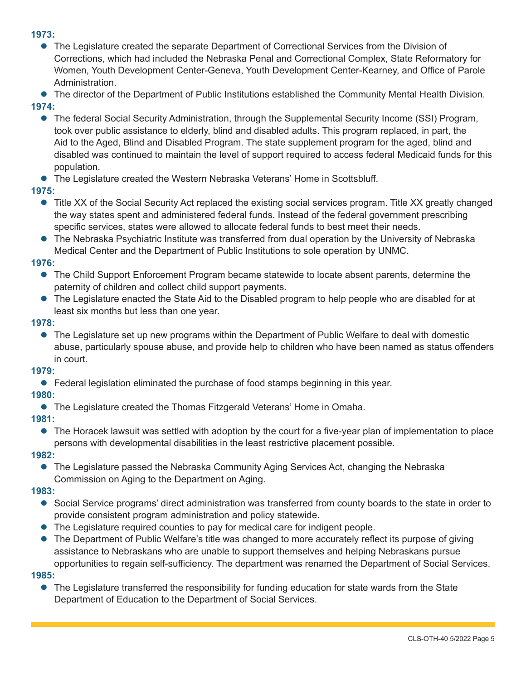- The Legislature created the separate Department of Correctional Services from the Division of Corrections, which had included the Nebraska Penal and Correctional Complex, State Reformatory for Women, Youth Development Center-Geneva, Youth Development Center-Kearney, and Office of Parole Administration.
- The director of the Department of Public Institutions established the Community Mental Health Division.

#### **1974:**

- The federal Social Security Administration, through the Supplemental Security Income (SSI) Program, took over public assistance to elderly, blind and disabled adults. This program replaced, in part, the Aid to the Aged, Blind and Disabled Program. The state supplement program for the aged, blind and disabled was continued to maintain the level of support required to access federal Medicaid funds for this population.
- The Legislature created the Western Nebraska Veterans' Home in Scottsbluff.

## **1975:**

- Title XX of the Social Security Act replaced the existing social services program. Title XX greatly changed the way states spent and administered federal funds. Instead of the federal government prescribing specific services, states were allowed to allocate federal funds to best meet their needs.
- The Nebraska Psychiatric Institute was transferred from dual operation by the University of Nebraska Medical Center and the Department of Public Institutions to sole operation by UNMC.

#### **1976:**

- The Child Support Enforcement Program became statewide to locate absent parents, determine the paternity of children and collect child support payments.
- The Legislature enacted the State Aid to the Disabled program to help people who are disabled for at least six months but less than one year.

#### **1978:**

• The Legislature set up new programs within the Department of Public Welfare to deal with domestic abuse, particularly spouse abuse, and provide help to children who have been named as status offenders in court.

## **1979:**

• Federal legislation eliminated the purchase of food stamps beginning in this year.

## **1980:**

• The Legislature created the Thomas Fitzgerald Veterans' Home in Omaha.

## **1981:**

• The Horacek lawsuit was settled with adoption by the court for a five-year plan of implementation to place persons with developmental disabilities in the least restrictive placement possible.

# **1982:**

**• The Legislature passed the Nebraska Community Aging Services Act, changing the Nebraska** Commission on Aging to the Department on Aging.

# **1983:**

- Social Service programs' direct administration was transferred from county boards to the state in order to provide consistent program administration and policy statewide.
- The Legislature required counties to pay for medical care for indigent people.
- The Department of Public Welfare's title was changed to more accurately reflect its purpose of giving assistance to Nebraskans who are unable to support themselves and helping Nebraskans pursue opportunities to regain self-sufficiency. The department was renamed the Department of Social Services.

#### **1985:**

• The Legislature transferred the responsibility for funding education for state wards from the State Department of Education to the Department of Social Services.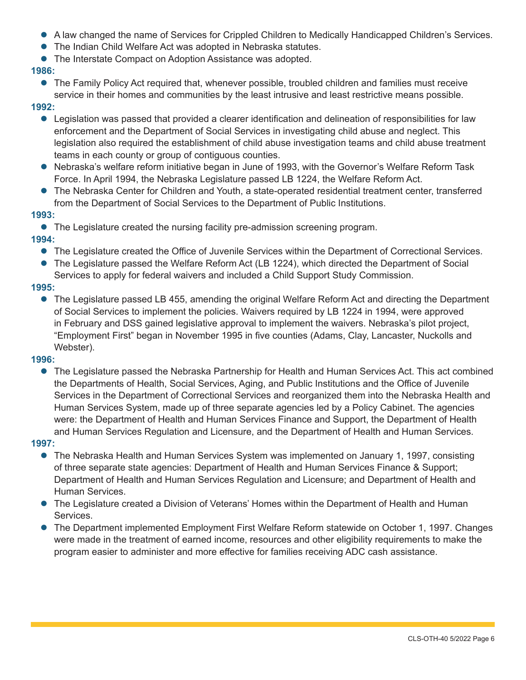- A law changed the name of Services for Crippled Children to Medically Handicapped Children's Services.
- **The Indian Child Welfare Act was adopted in Nebraska statutes.**
- The Interstate Compact on Adoption Assistance was adopted.

• The Family Policy Act required that, whenever possible, troubled children and families must receive service in their homes and communities by the least intrusive and least restrictive means possible.

## **1992:**

- Legislation was passed that provided a clearer identification and delineation of responsibilities for law enforcement and the Department of Social Services in investigating child abuse and neglect. This legislation also required the establishment of child abuse investigation teams and child abuse treatment teams in each county or group of contiguous counties.
- Nebraska's welfare reform initiative began in June of 1993, with the Governor's Welfare Reform Task Force. In April 1994, the Nebraska Legislature passed LB 1224, the Welfare Reform Act.
- The Nebraska Center for Children and Youth, a state-operated residential treatment center, transferred from the Department of Social Services to the Department of Public Institutions.

# **1993:**

• The Legislature created the nursing facility pre-admission screening program.

# **1994:**

- The Legislature created the Office of Juvenile Services within the Department of Correctional Services.
- The Legislature passed the Welfare Reform Act (LB 1224), which directed the Department of Social Services to apply for federal waivers and included a Child Support Study Commission.

# **1995:**

• The Legislature passed LB 455, amending the original Welfare Reform Act and directing the Department of Social Services to implement the policies. Waivers required by LB 1224 in 1994, were approved in February and DSS gained legislative approval to implement the waivers. Nebraska's pilot project, "Employment First" began in November 1995 in five counties (Adams, Clay, Lancaster, Nuckolls and Webster).

## **1996:**

• The Legislature passed the Nebraska Partnership for Health and Human Services Act. This act combined the Departments of Health, Social Services, Aging, and Public Institutions and the Office of Juvenile Services in the Department of Correctional Services and reorganized them into the Nebraska Health and Human Services System, made up of three separate agencies led by a Policy Cabinet. The agencies were: the Department of Health and Human Services Finance and Support, the Department of Health and Human Services Regulation and Licensure, and the Department of Health and Human Services.

- The Nebraska Health and Human Services System was implemented on January 1, 1997, consisting of three separate state agencies: Department of Health and Human Services Finance & Support; Department of Health and Human Services Regulation and Licensure; and Department of Health and Human Services.
- The Legislature created a Division of Veterans' Homes within the Department of Health and Human Services.
- The Department implemented Employment First Welfare Reform statewide on October 1, 1997. Changes were made in the treatment of earned income, resources and other eligibility requirements to make the program easier to administer and more effective for families receiving ADC cash assistance.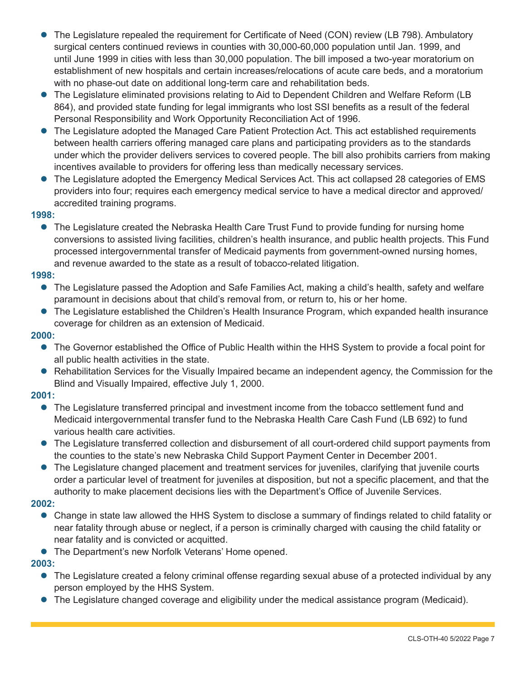- The Legislature repealed the requirement for Certificate of Need (CON) review (LB 798). Ambulatory surgical centers continued reviews in counties with 30,000-60,000 population until Jan. 1999, and until June 1999 in cities with less than 30,000 population. The bill imposed a two-year moratorium on establishment of new hospitals and certain increases/relocations of acute care beds, and a moratorium with no phase-out date on additional long-term care and rehabilitation beds.
- The Legislature eliminated provisions relating to Aid to Dependent Children and Welfare Reform (LB 864), and provided state funding for legal immigrants who lost SSI benefits as a result of the federal Personal Responsibility and Work Opportunity Reconciliation Act of 1996.
- The Legislature adopted the Managed Care Patient Protection Act. This act established requirements between health carriers offering managed care plans and participating providers as to the standards under which the provider delivers services to covered people. The bill also prohibits carriers from making incentives available to providers for offering less than medically necessary services.
- The Legislature adopted the Emergency Medical Services Act. This act collapsed 28 categories of EMS providers into four; requires each emergency medical service to have a medical director and approved/ accredited training programs.

• The Legislature created the Nebraska Health Care Trust Fund to provide funding for nursing home conversions to assisted living facilities, children's health insurance, and public health projects. This Fund processed intergovernmental transfer of Medicaid payments from government-owned nursing homes, and revenue awarded to the state as a result of tobacco-related litigation.

#### **1998:**

- The Legislature passed the Adoption and Safe Families Act, making a child's health, safety and welfare paramount in decisions about that child's removal from, or return to, his or her home.
- The Legislature established the Children's Health Insurance Program, which expanded health insurance coverage for children as an extension of Medicaid.

## **2000:**

- The Governor established the Office of Public Health within the HHS System to provide a focal point for all public health activities in the state.
- Rehabilitation Services for the Visually Impaired became an independent agency, the Commission for the Blind and Visually Impaired, effective July 1, 2000.

## **2001:**

- The Legislature transferred principal and investment income from the tobacco settlement fund and Medicaid intergovernmental transfer fund to the Nebraska Health Care Cash Fund (LB 692) to fund various health care activities.
- The Legislature transferred collection and disbursement of all court-ordered child support payments from the counties to the state's new Nebraska Child Support Payment Center in December 2001.
- The Legislature changed placement and treatment services for juveniles, clarifying that juvenile courts order a particular level of treatment for juveniles at disposition, but not a specific placement, and that the authority to make placement decisions lies with the Department's Office of Juvenile Services.

## **2002:**

- Change in state law allowed the HHS System to disclose a summary of findings related to child fatality or near fatality through abuse or neglect, if a person is criminally charged with causing the child fatality or near fatality and is convicted or acquitted.
- **•** The Department's new Norfolk Veterans' Home opened.

- The Legislature created a felony criminal offense regarding sexual abuse of a protected individual by any person employed by the HHS System.
- The Legislature changed coverage and eligibility under the medical assistance program (Medicaid).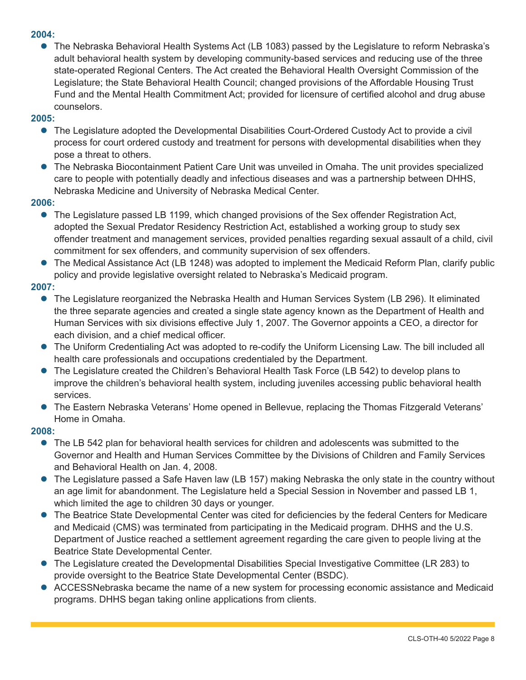• The Nebraska Behavioral Health Systems Act (LB 1083) passed by the Legislature to reform Nebraska's adult behavioral health system by developing community-based services and reducing use of the three state-operated Regional Centers. The Act created the Behavioral Health Oversight Commission of the Legislature; the State Behavioral Health Council; changed provisions of the Affordable Housing Trust Fund and the Mental Health Commitment Act; provided for licensure of certified alcohol and drug abuse counselors.

## **2005:**

- The Legislature adopted the Developmental Disabilities Court-Ordered Custody Act to provide a civil process for court ordered custody and treatment for persons with developmental disabilities when they pose a threat to others.
- The Nebraska Biocontainment Patient Care Unit was unveiled in Omaha. The unit provides specialized care to people with potentially deadly and infectious diseases and was a partnership between DHHS, Nebraska Medicine and University of Nebraska Medical Center.

## **2006:**

- The Legislature passed LB 1199, which changed provisions of the Sex offender Registration Act, adopted the Sexual Predator Residency Restriction Act, established a working group to study sex offender treatment and management services, provided penalties regarding sexual assault of a child, civil commitment for sex offenders, and community supervision of sex offenders.
- The Medical Assistance Act (LB 1248) was adopted to implement the Medicaid Reform Plan, clarify public policy and provide legislative oversight related to Nebraska's Medicaid program.

## **2007:**

- **The Legislature reorganized the Nebraska Health and Human Services System (LB 296). It eliminated** the three separate agencies and created a single state agency known as the Department of Health and Human Services with six divisions effective July 1, 2007. The Governor appoints a CEO, a director for each division, and a chief medical officer.
- The Uniform Credentialing Act was adopted to re-codify the Uniform Licensing Law. The bill included all health care professionals and occupations credentialed by the Department.
- The Legislature created the Children's Behavioral Health Task Force (LB 542) to develop plans to improve the children's behavioral health system, including juveniles accessing public behavioral health services.
- The Eastern Nebraska Veterans' Home opened in Bellevue, replacing the Thomas Fitzgerald Veterans' Home in Omaha.

- The LB 542 plan for behavioral health services for children and adolescents was submitted to the Governor and Health and Human Services Committee by the Divisions of Children and Family Services and Behavioral Health on Jan. 4, 2008.
- The Legislature passed a Safe Haven law (LB 157) making Nebraska the only state in the country without an age limit for abandonment. The Legislature held a Special Session in November and passed LB 1, which limited the age to children 30 days or younger.
- The Beatrice State Developmental Center was cited for deficiencies by the federal Centers for Medicare and Medicaid (CMS) was terminated from participating in the Medicaid program. DHHS and the U.S. Department of Justice reached a settlement agreement regarding the care given to people living at the Beatrice State Developmental Center.
- The Legislature created the Developmental Disabilities Special Investigative Committee (LR 283) to provide oversight to the Beatrice State Developmental Center (BSDC).
- ACCESSNebraska became the name of a new system for processing economic assistance and Medicaid programs. DHHS began taking online applications from clients.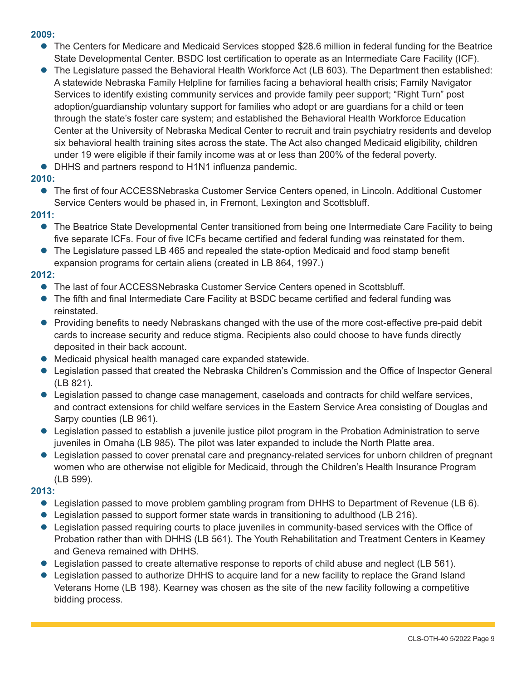- The Centers for Medicare and Medicaid Services stopped \$28.6 million in federal funding for the Beatrice State Developmental Center. BSDC lost certification to operate as an Intermediate Care Facility (ICF).
- The Legislature passed the Behavioral Health Workforce Act (LB 603). The Department then established: A statewide Nebraska Family Helpline for families facing a behavioral health crisis; Family Navigator Services to identify existing community services and provide family peer support; "Right Turn" post adoption/guardianship voluntary support for families who adopt or are guardians for a child or teen through the state's foster care system; and established the Behavioral Health Workforce Education Center at the University of Nebraska Medical Center to recruit and train psychiatry residents and develop six behavioral health training sites across the state. The Act also changed Medicaid eligibility, children under 19 were eligible if their family income was at or less than 200% of the federal poverty.
- DHHS and partners respond to H1N1 influenza pandemic.

# **2010:**

**The first of four ACCESSNebraska Customer Service Centers opened, in Lincoln. Additional Customer** Service Centers would be phased in, in Fremont, Lexington and Scottsbluff.

# **2011:**

- The Beatrice State Developmental Center transitioned from being one Intermediate Care Facility to being five separate ICFs. Four of five ICFs became certified and federal funding was reinstated for them.
- The Legislature passed LB 465 and repealed the state-option Medicaid and food stamp benefit expansion programs for certain aliens (created in LB 864, 1997.)

# **2012:**

- **•** The last of four ACCESSNebraska Customer Service Centers opened in Scottsbluff.
- The fifth and final Intermediate Care Facility at BSDC became certified and federal funding was reinstated.
- Providing benefits to needy Nebraskans changed with the use of the more cost-effective pre-paid debit cards to increase security and reduce stigma. Recipients also could choose to have funds directly deposited in their back account.
- $\bullet$  Medicaid physical health managed care expanded statewide.
- Legislation passed that created the Nebraska Children's Commission and the Office of Inspector General (LB 821).
- Legislation passed to change case management, caseloads and contracts for child welfare services, and contract extensions for child welfare services in the Eastern Service Area consisting of Douglas and Sarpy counties (LB 961).
- Legislation passed to establish a juvenile justice pilot program in the Probation Administration to serve juveniles in Omaha (LB 985). The pilot was later expanded to include the North Platte area.
- Legislation passed to cover prenatal care and pregnancy-related services for unborn children of pregnant women who are otherwise not eligible for Medicaid, through the Children's Health Insurance Program (LB 599).

- Legislation passed to move problem gambling program from DHHS to Department of Revenue (LB 6).
- Legislation passed to support former state wards in transitioning to adulthood (LB 216).
- Legislation passed requiring courts to place juveniles in community-based services with the Office of Probation rather than with DHHS (LB 561). The Youth Rehabilitation and Treatment Centers in Kearney and Geneva remained with DHHS.
- Legislation passed to create alternative response to reports of child abuse and neglect (LB 561).
- Legislation passed to authorize DHHS to acquire land for a new facility to replace the Grand Island Veterans Home (LB 198). Kearney was chosen as the site of the new facility following a competitive bidding process.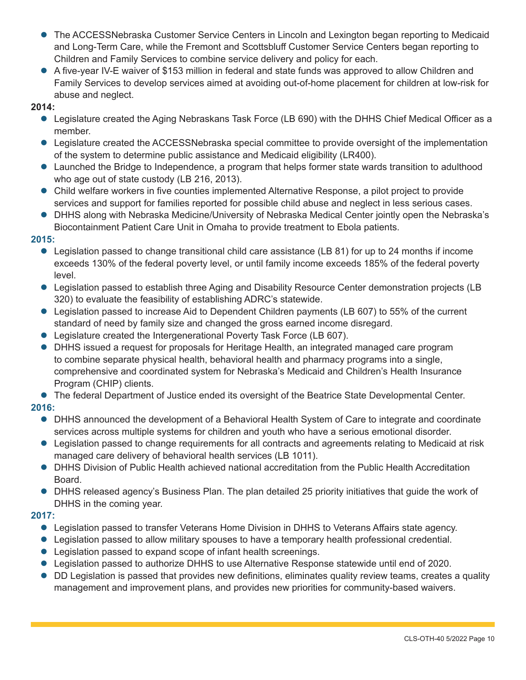- l The ACCESSNebraska Customer Service Centers in Lincoln and Lexington began reporting to Medicaid and Long-Term Care, while the Fremont and Scottsbluff Customer Service Centers began reporting to Children and Family Services to combine service delivery and policy for each.
- A five-year IV-E waiver of \$153 million in federal and state funds was approved to allow Children and Family Services to develop services aimed at avoiding out-of-home placement for children at low-risk for abuse and neglect.

- Legislature created the Aging Nebraskans Task Force (LB 690) with the DHHS Chief Medical Officer as a member.
- Legislature created the ACCESSNebraska special committee to provide oversight of the implementation of the system to determine public assistance and Medicaid eligibility (LR400).
- Launched the Bridge to Independence, a program that helps former state wards transition to adulthood who age out of state custody (LB 216, 2013).
- Child welfare workers in five counties implemented Alternative Response, a pilot project to provide services and support for families reported for possible child abuse and neglect in less serious cases.
- DHHS along with Nebraska Medicine/University of Nebraska Medical Center jointly open the Nebraska's Biocontainment Patient Care Unit in Omaha to provide treatment to Ebola patients.

# **2015:**

- Legislation passed to change transitional child care assistance (LB 81) for up to 24 months if income exceeds 130% of the federal poverty level, or until family income exceeds 185% of the federal poverty level.
- Legislation passed to establish three Aging and Disability Resource Center demonstration projects (LB 320) to evaluate the feasibility of establishing ADRC's statewide.
- Legislation passed to increase Aid to Dependent Children payments (LB 607) to 55% of the current standard of need by family size and changed the gross earned income disregard.
- Legislature created the Intergenerational Poverty Task Force (LB 607).
- DHHS issued a request for proposals for Heritage Health, an integrated managed care program to combine separate physical health, behavioral health and pharmacy programs into a single, comprehensive and coordinated system for Nebraska's Medicaid and Children's Health Insurance Program (CHIP) clients.

• The federal Department of Justice ended its oversight of the Beatrice State Developmental Center.

# **2016:**

- DHHS announced the development of a Behavioral Health System of Care to integrate and coordinate services across multiple systems for children and youth who have a serious emotional disorder.
- Legislation passed to change requirements for all contracts and agreements relating to Medicaid at risk managed care delivery of behavioral health services (LB 1011).
- l DHHS Division of Public Health achieved national accreditation from the Public Health Accreditation Board.
- DHHS released agency's Business Plan. The plan detailed 25 priority initiatives that guide the work of DHHS in the coming year.

- Legislation passed to transfer Veterans Home Division in DHHS to Veterans Affairs state agency.
- Legislation passed to allow military spouses to have a temporary health professional credential.
- **•** Legislation passed to expand scope of infant health screenings.
- Legislation passed to authorize DHHS to use Alternative Response statewide until end of 2020.
- DD Legislation is passed that provides new definitions, eliminates quality review teams, creates a quality management and improvement plans, and provides new priorities for community-based waivers.